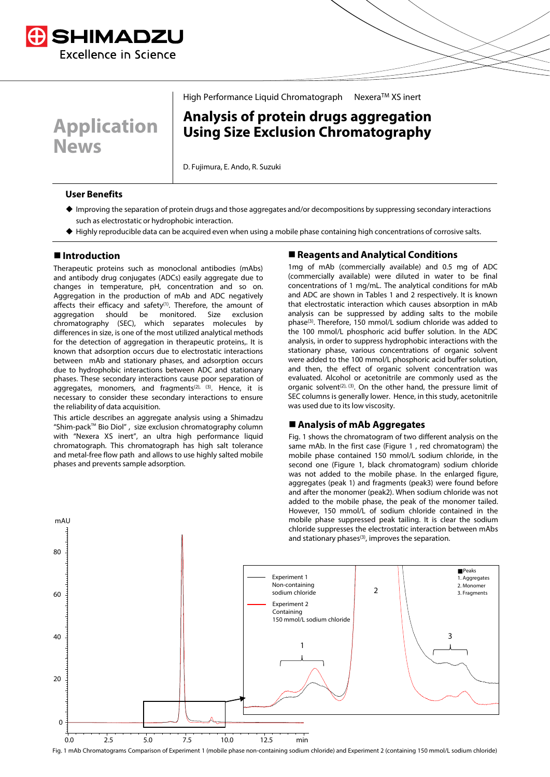

**Application News**

# High Performance Liquid Chromatograph Nexera™ XS inert

# **Analysis of protein drugs aggregation Using Size Exclusion Chromatography**

D. Fujimura, E. Ando, R. Suzuki

### **User Benefits**

- Improving the separation of protein drugs and those aggregates and/or decompositions by suppressing secondary interactions such as electrostatic or hydrophobic interaction.
- Highly reproducible data can be acquired even when using a mobile phase containing high concentrations of corrosive salts.

# **Introduction**

mAU

Therapeutic proteins such as monoclonal antibodies (mAbs) and antibody drug conjugates (ADCs) easily aggregate due to changes in temperature, pH, concentration and so on. Aggregation in the production of mAb and ADC negatively affects their efficacy and safety $(1)$ . Therefore, the amount of aggregation should be monitored. Size exclusion chromatography (SEC), which separates molecules by differences in size, is one of the most utilized analytical methods for the detection of aggregation in therapeutic proteins. It is known that adsorption occurs due to electrostatic interactions between mAb and stationary phases, and adsorption occurs due to hydrophobic interactions between ADC and stationary phases. These secondary interactions cause poor separation of aggregates, monomers, and fragments<sup>(2), (3)</sup>. Hence, it is necessary to consider these secondary interactions to ensure the reliability of data acquisition.

This article describes an aggregate analysis using a Shimadzu "Shim-pack™ Bio Diol" , size exclusion chromatography column with "Nexera XS inert", an ultra high performance liquid chromatograph. This chromatograph has high salt tolerance and metal-free flow path and allows to use highly salted mobile phases and prevents sample adsorption.

### **Reagents and Analytical Conditions**

1mg of mAb (commercially available) and 0.5 mg of ADC (commercially available) were diluted in water to be final concentrations of 1 mg/mL. The analytical conditions for mAb and ADC are shown in Tables 1 and 2 respectively. It is known that electrostatic interaction which causes absorption in mAb analysis can be suppressed by adding salts to the mobile phase(3). Therefore, 150 mmol/L sodium chloride was added to the 100 mmol/L phosphoric acid buffer solution. In the ADC analysis, in order to suppress hydrophobic interactions with the stationary phase, various concentrations of organic solvent were added to the 100 mmol/L phosphoric acid buffer solution, and then, the effect of organic solvent concentration was evaluated. Alcohol or acetonitrile are commonly used as the organic solvent<sup>(2), (3)</sup>. On the other hand, the pressure limit of SEC columns is generally lower. Hence, in this study, acetonitrile was used due to its low viscosity.

#### **Analysis of mAb Aggregates**

Fig. 1 shows the chromatogram of two different analysis on the same mAb. In the first case (Figure 1 , red chromatogram) the mobile phase contained 150 mmol/L sodium chloride, in the second one (Figure 1, black chromatogram) sodium chloride was not added to the mobile phase. In the enlarged figure, aggregates (peak 1) and fragments (peak3) were found before and after the monomer (peak2). When sodium chloride was not added to the mobile phase, the peak of the monomer tailed. However, 150 mmol/L of sodium chloride contained in the mobile phase suppressed peak tailing. It is clear the sodium chloride suppresses the electrostatic interaction between mAbs and stationary phases<sup>(3)</sup>, improves the separation.



Fig. 1 mAb Chromatograms Comparison of Experiment 1 (mobile phase non-containing sodium chloride) and Experiment 2 (containing 150 mmol/L sodium chloride)